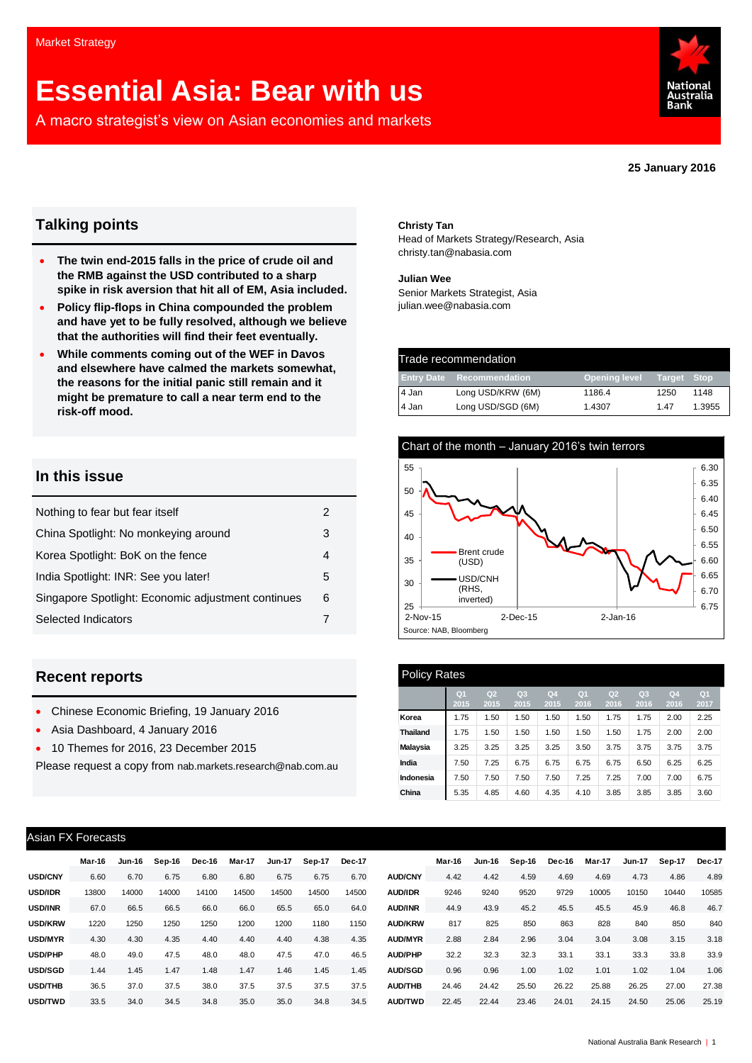# **Essential Asia: Bear with us**

A macro strategist's view on Asian economies and markets



**25 January 2016**

### **Talking points**

- **The twin end-2015 falls in the price of crude oil and the RMB against the USD contributed to a sharp spike in risk aversion that hit all of EM, Asia included.**
- **Policy flip-flops in China compounded the problem and have yet to be fully resolved, although we believe that the authorities will find their feet eventually.**
- **While comments coming out of the WEF in Davos and elsewhere have calmed the markets somewhat, the reasons for the initial panic still remain and it might be premature to call a near term end to the risk-off mood.**

### **In this issue**

| 2 |
|---|
| З |
| 4 |
| 5 |
| 6 |
|   |
|   |

### **Recent reports**

- Chinese Economic Briefing, 19 January 2016
- Asia Dashboard, 4 January 2016
- 10 Themes for 2016, 23 December 2015

Please request a copy from [nab.markets.research@nab.com.au](mailto:nab.markets.research@nab.com.au)

#### **Christy Tan**

Head of Markets Strategy/Research, Asia [christy.tan@nabasia.com](mailto:christy.tan@nabasia.com)

**Julian Wee** Senior Markets Strategist, Asia [julian.wee@nabasia.com](mailto:julian.wee@nabasia.com)

| Trade recommendation |                   |                      |             |        |  |  |  |
|----------------------|-------------------|----------------------|-------------|--------|--|--|--|
| <b>Entry Date</b>    | Recommendation    | <b>Opening level</b> | Target Stop |        |  |  |  |
| 4 Jan                | Long USD/KRW (6M) | 1186.4               | 1250        | 1148   |  |  |  |
| 4 Jan                | Long USD/SGD (6M) | 1.4307               | 147         | 1.3955 |  |  |  |



| <b>Policy Rates</b> |                        |                        |                        |                        |                        |                        |                        |                        |                        |  |  |
|---------------------|------------------------|------------------------|------------------------|------------------------|------------------------|------------------------|------------------------|------------------------|------------------------|--|--|
|                     | Q <sub>1</sub><br>2015 | Q <sub>2</sub><br>2015 | Q <sub>3</sub><br>2015 | Q <sub>4</sub><br>2015 | Q <sub>1</sub><br>2016 | Q <sub>2</sub><br>2016 | Q <sub>3</sub><br>2016 | Q <sub>4</sub><br>2016 | Q <sub>1</sub><br>2017 |  |  |
| Korea               | 1.75                   | 1.50                   | 1.50                   | 1.50                   | 1.50                   | 1.75                   | 1.75                   | 2.00                   | 2.25                   |  |  |
| <b>Thailand</b>     | 1.75                   | 1.50                   | 1.50                   | 1.50                   | 1.50                   | 1.50                   | 1.75                   | 2.00                   | 2.00                   |  |  |
| <b>Malaysia</b>     | 3.25                   | 3.25                   | 3.25                   | 3.25                   | 3.50                   | 3.75                   | 3.75                   | 3.75                   | 3.75                   |  |  |
| India               | 7.50                   | 7.25                   | 6.75                   | 6.75                   | 6.75                   | 6.75                   | 6.50                   | 6.25                   | 6.25                   |  |  |
| Indonesia           | 7.50                   | 7.50                   | 7.50                   | 7.50                   | 7.25                   | 7.25                   | 7.00                   | 7.00                   | 6.75                   |  |  |
| China               | 5.35                   | 4.85                   | 4.60                   | 4.35                   | 4.10                   | 3.85                   | 3.85                   | 3.85                   | 3.60                   |  |  |

### Asian FX Forecasts

|                | Mar-16 | Jun-16 | Sep-16 | Dec-16 | Mar-17 | <b>Jun-17</b> | Sep-17 | Dec-17 |                | Mar-16 | Jun-16 | Sep-16 | Dec-16 | Mar-17 | <b>Jun-17</b> | Sep-17 | <b>Dec-17</b> |
|----------------|--------|--------|--------|--------|--------|---------------|--------|--------|----------------|--------|--------|--------|--------|--------|---------------|--------|---------------|
| <b>USD/CNY</b> | 6.60   | 6.70   | 6.75   | 6.80   | 6.80   | 6.75          | 6.75   | 6.70   | <b>AUD/CNY</b> | 4.42   | 4.42   | 4.59   | 4.69   | 4.69   | 4.73          | 4.86   | 4.89          |
|                |        |        |        |        |        |               |        |        |                |        |        |        |        |        |               |        |               |
| <b>USD/IDR</b> | 13800  | 14000  | 14000  | 14100  | 14500  | 14500         | 14500  | 14500  | <b>AUD/IDR</b> | 9246   | 9240   | 9520   | 9729   | 10005  | 10150         | 10440  | 10585         |
| <b>USD/INR</b> | 67.0   | 66.5   | 66.5   | 66.0   | 66.0   | 65.5          | 65.0   | 64.0   | <b>AUD/INR</b> | 44.9   | 43.9   | 45.2   | 45.5   | 45.5   | 45.9          | 46.8   | 46.7          |
| <b>USD/KRW</b> | 1220   | 1250   | 1250   | 1250   | 1200   | 1200          | 1180   | 1150   | <b>AUD/KRW</b> | 817    | 825    | 850    | 863    | 828    | 840           | 850    | 840           |
| USD/MYR        | 4.30   | 4.30   | 4.35   | 4.40   | 4.40   | 4.40          | 4.38   | 4.35   | <b>AUD/MYR</b> | 2.88   | 2.84   | 2.96   | 3.04   | 3.04   | 3.08          | 3.15   | 3.18          |
| <b>USD/PHP</b> | 48.0   | 49.0   | 47.5   | 48.0   | 48.0   | 47.5          | 47.0   | 46.5   | <b>AUD/PHP</b> | 32.2   | 32.3   | 32.3   | 33.1   | 33.1   | 33.3          | 33.8   | 33.9          |
| USD/SGD        | 1.44   | 1.45   | 1.47   | 1.48   | 1.47   | 1.46          | 1.45   | 1.45   | <b>AUD/SGD</b> | 0.96   | 0.96   | 1.00   | 1.02   | 1.01   | 1.02          | 1.04   | 1.06          |
| <b>USD/THB</b> | 36.5   | 37.0   | 37.5   | 38.0   | 37.5   | 37.5          | 37.5   | 37.5   | <b>AUD/THB</b> | 24.46  | 24.42  | 25.50  | 26.22  | 25.88  | 26.25         | 27.00  | 27.38         |
| USD/TWD        | 33.5   | 34.0   | 34.5   | 34.8   | 35.0   | 35.0          | 34.8   | 34.5   | <b>AUD/TWD</b> | 22.45  | 22.44  | 23.46  | 24.01  | 24.15  | 24.50         | 25.06  | 25.19         |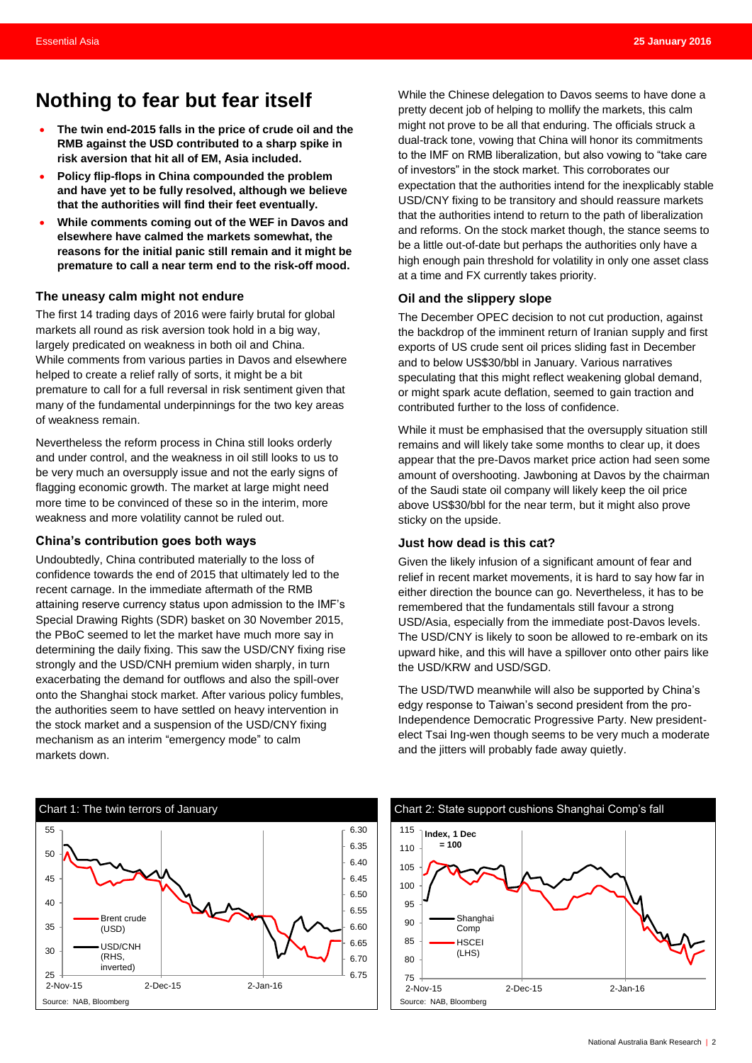### <span id="page-1-0"></span>**Nothing to fear but fear itself**

- **The twin end-2015 falls in the price of crude oil and the RMB against the USD contributed to a sharp spike in risk aversion that hit all of EM, Asia included.**
- **Policy flip-flops in China compounded the problem and have yet to be fully resolved, although we believe that the authorities will find their feet eventually.**
- **While comments coming out of the WEF in Davos and elsewhere have calmed the markets somewhat, the reasons for the initial panic still remain and it might be premature to call a near term end to the risk-off mood.**

### **The uneasy calm might not endure**

The first 14 trading days of 2016 were fairly brutal for global markets all round as risk aversion took hold in a big way, largely predicated on weakness in both oil and China. While comments from various parties in Davos and elsewhere helped to create a relief rally of sorts, it might be a bit premature to call for a full reversal in risk sentiment given that many of the fundamental underpinnings for the two key areas of weakness remain.

Nevertheless the reform process in China still looks orderly and under control, and the weakness in oil still looks to us to be very much an oversupply issue and not the early signs of flagging economic growth. The market at large might need more time to be convinced of these so in the interim, more weakness and more volatility cannot be ruled out.

### **China's contribution goes both ways**

Undoubtedly, China contributed materially to the loss of confidence towards the end of 2015 that ultimately led to the recent carnage. In the immediate aftermath of the RMB attaining reserve currency status upon admission to the IMF's Special Drawing Rights (SDR) basket on 30 November 2015, the PBoC seemed to let the market have much more say in determining the daily fixing. This saw the USD/CNY fixing rise strongly and the USD/CNH premium widen sharply, in turn exacerbating the demand for outflows and also the spill-over onto the Shanghai stock market. After various policy fumbles, the authorities seem to have settled on heavy intervention in the stock market and a suspension of the USD/CNY fixing mechanism as an interim "emergency mode" to calm markets down.

Source: NAB, Bloomberg Source: NAB, Bloomberg Source: NAB, Bloomberg Source: NAB, Bloomberg 6.30 6.35 6.40 6.45 6.50 6.55 6.60 6.65 6.70 25  $+$  6.75 30 35  $40$ 45 50 55 2-Nov-15 2-Dec-15 2-Jan-16 Brent crude (USD) USD/CNH (RHS, inverted)

While the Chinese delegation to Davos seems to have done a pretty decent job of helping to mollify the markets, this calm might not prove to be all that enduring. The officials struck a dual-track tone, vowing that China will honor its commitments to the IMF on RMB liberalization, but also vowing to "take care of investors" in the stock market. This corroborates our expectation that the authorities intend for the inexplicably stable USD/CNY fixing to be transitory and should reassure markets that the authorities intend to return to the path of liberalization and reforms. On the stock market though, the stance seems to be a little out-of-date but perhaps the authorities only have a high enough pain threshold for volatility in only one asset class at a time and FX currently takes priority.

### **Oil and the slippery slope**

The December OPEC decision to not cut production, against the backdrop of the imminent return of Iranian supply and first exports of US crude sent oil prices sliding fast in December and to below US\$30/bbl in January. Various narratives speculating that this might reflect weakening global demand, or might spark acute deflation, seemed to gain traction and contributed further to the loss of confidence.

While it must be emphasised that the oversupply situation still remains and will likely take some months to clear up, it does appear that the pre-Davos market price action had seen some amount of overshooting. Jawboning at Davos by the chairman of the Saudi state oil company will likely keep the oil price above US\$30/bbl for the near term, but it might also prove sticky on the upside.

### **Just how dead is this cat?**

Given the likely infusion of a significant amount of fear and relief in recent market movements, it is hard to say how far in either direction the bounce can go. Nevertheless, it has to be remembered that the fundamentals still favour a strong USD/Asia, especially from the immediate post-Davos levels. The USD/CNY is likely to soon be allowed to re-embark on its upward hike, and this will have a spillover onto other pairs like the USD/KRW and USD/SGD.

The USD/TWD meanwhile will also be supported by China's edgy response to Taiwan's second president from the pro-Independence Democratic Progressive Party. New presidentelect Tsai Ing-wen though seems to be very much a moderate and the jitters will probably fade away quietly.

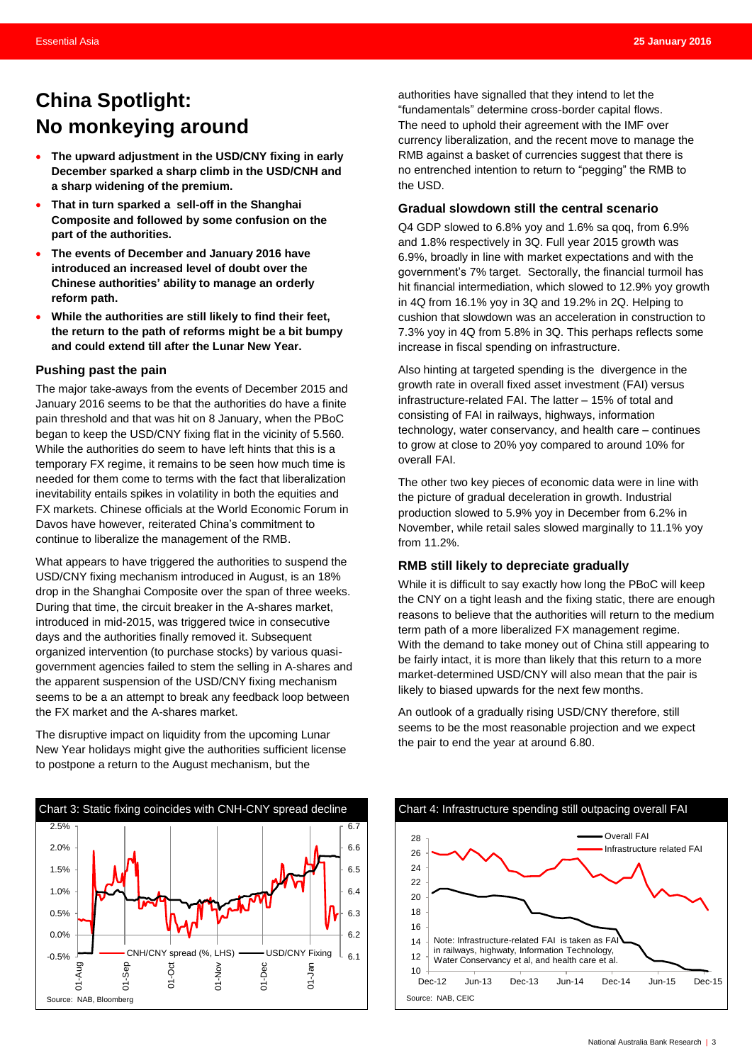### <span id="page-2-0"></span>**China Spotlight: No monkeying around**

- **The upward adjustment in the USD/CNY fixing in early December sparked a sharp climb in the USD/CNH and a sharp widening of the premium.**
- **That in turn sparked a sell-off in the Shanghai Composite and followed by some confusion on the part of the authorities.**
- **The events of December and January 2016 have introduced an increased level of doubt over the Chinese authorities' ability to manage an orderly reform path.**
- **While the authorities are still likely to find their feet, the return to the path of reforms might be a bit bumpy and could extend till after the Lunar New Year.**

### **Pushing past the pain**

The major take-aways from the events of December 2015 and January 2016 seems to be that the authorities do have a finite pain threshold and that was hit on 8 January, when the PBoC began to keep the USD/CNY fixing flat in the vicinity of 5.560. While the authorities do seem to have left hints that this is a temporary FX regime, it remains to be seen how much time is needed for them come to terms with the fact that liberalization inevitability entails spikes in volatility in both the equities and FX markets. Chinese officials at the World Economic Forum in Davos have however, reiterated China's commitment to continue to liberalize the management of the RMB.

What appears to have triggered the authorities to suspend the USD/CNY fixing mechanism introduced in August, is an 18% drop in the Shanghai Composite over the span of three weeks. During that time, the circuit breaker in the A-shares market, introduced in mid-2015, was triggered twice in consecutive days and the authorities finally removed it. Subsequent organized intervention (to purchase stocks) by various quasigovernment agencies failed to stem the selling in A-shares and the apparent suspension of the USD/CNY fixing mechanism seems to be a an attempt to break any feedback loop between the FX market and the A-shares market.

The disruptive impact on liquidity from the upcoming Lunar New Year holidays might give the authorities sufficient license to postpone a return to the August mechanism, but the



authorities have signalled that they intend to let the "fundamentals" determine cross-border capital flows. The need to uphold their agreement with the IMF over currency liberalization, and the recent move to manage the RMB against a basket of currencies suggest that there is no entrenched intention to return to "pegging" the RMB to the USD.

#### **Gradual slowdown still the central scenario**

Q4 GDP slowed to 6.8% yoy and 1.6% sa qoq, from 6.9% and 1.8% respectively in 3Q. Full year 2015 growth was 6.9%, broadly in line with market expectations and with the government's 7% target. Sectorally, the financial turmoil has hit financial intermediation, which slowed to 12.9% yoy growth in 4Q from 16.1% yoy in 3Q and 19.2% in 2Q. Helping to cushion that slowdown was an acceleration in construction to 7.3% yoy in 4Q from 5.8% in 3Q. This perhaps reflects some increase in fiscal spending on infrastructure.

Also hinting at targeted spending is the divergence in the growth rate in overall fixed asset investment (FAI) versus infrastructure-related FAI. The latter – 15% of total and consisting of FAI in railways, highways, information technology, water conservancy, and health care – continues to grow at close to 20% yoy compared to around 10% for overall FAI.

The other two key pieces of economic data were in line with the picture of gradual deceleration in growth. Industrial production slowed to 5.9% yoy in December from 6.2% in November, while retail sales slowed marginally to 11.1% yoy from 11.2%.

### **RMB still likely to depreciate gradually**

While it is difficult to say exactly how long the PBoC will keep the CNY on a tight leash and the fixing static, there are enough reasons to believe that the authorities will return to the medium term path of a more liberalized FX management regime. With the demand to take money out of China still appearing to be fairly intact, it is more than likely that this return to a more market-determined USD/CNY will also mean that the pair is likely to biased upwards for the next few months.

An outlook of a gradually rising USD/CNY therefore, still seems to be the most reasonable projection and we expect the pair to end the year at around 6.80.

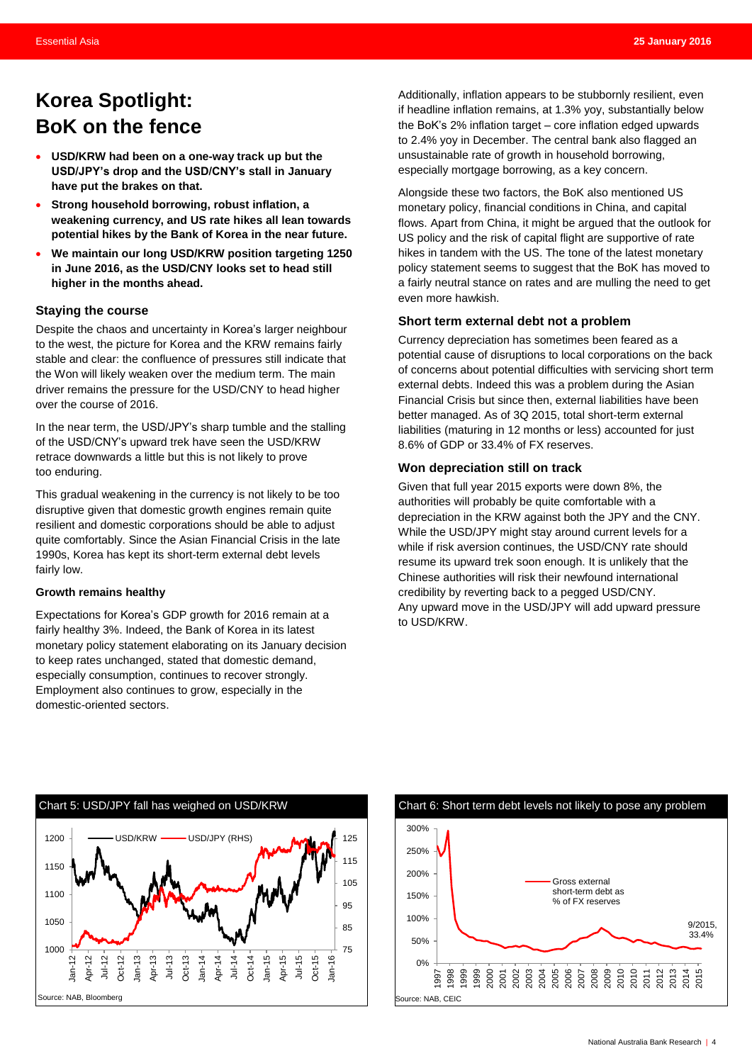### <span id="page-3-0"></span>**Korea Spotlight: BoK on the fence**

- **USD/KRW had been on a one-way track up but the USD/JPY's drop and the USD/CNY's stall in January have put the brakes on that.**
- **Strong household borrowing, robust inflation, a weakening currency, and US rate hikes all lean towards potential hikes by the Bank of Korea in the near future.**
- **We maintain our long USD/KRW position targeting 1250 in June 2016, as the USD/CNY looks set to head still higher in the months ahead.**

### **Staying the course**

Despite the chaos and uncertainty in Korea's larger neighbour to the west, the picture for Korea and the KRW remains fairly stable and clear: the confluence of pressures still indicate that the Won will likely weaken over the medium term. The main driver remains the pressure for the USD/CNY to head higher over the course of 2016.

In the near term, the USD/JPY's sharp tumble and the stalling of the USD/CNY's upward trek have seen the USD/KRW retrace downwards a little but this is not likely to prove too enduring.

This gradual weakening in the currency is not likely to be too disruptive given that domestic growth engines remain quite resilient and domestic corporations should be able to adjust quite comfortably. Since the Asian Financial Crisis in the late 1990s, Korea has kept its short-term external debt levels fairly low.

### **Growth remains healthy**

Expectations for Korea's GDP growth for 2016 remain at a fairly healthy 3%. Indeed, the Bank of Korea in its latest monetary policy statement elaborating on its January decision to keep rates unchanged, stated that domestic demand, especially consumption, continues to recover strongly. Employment also continues to grow, especially in the domestic-oriented sectors.

Additionally, inflation appears to be stubbornly resilient, even if headline inflation remains, at 1.3% yoy, substantially below the BoK's 2% inflation target – core inflation edged upwards to 2.4% yoy in December. The central bank also flagged an unsustainable rate of growth in household borrowing, especially mortgage borrowing, as a key concern.

Alongside these two factors, the BoK also mentioned US monetary policy, financial conditions in China, and capital flows. Apart from China, it might be argued that the outlook for US policy and the risk of capital flight are supportive of rate hikes in tandem with the US. The tone of the latest monetary policy statement seems to suggest that the BoK has moved to a fairly neutral stance on rates and are mulling the need to get even more hawkish.

### **Short term external debt not a problem**

Currency depreciation has sometimes been feared as a potential cause of disruptions to local corporations on the back of concerns about potential difficulties with servicing short term external debts. Indeed this was a problem during the Asian Financial Crisis but since then, external liabilities have been better managed. As of 3Q 2015, total short-term external liabilities (maturing in 12 months or less) accounted for just 8.6% of GDP or 33.4% of FX reserves.

### **Won depreciation still on track**

Given that full year 2015 exports were down 8%, the authorities will probably be quite comfortable with a depreciation in the KRW against both the JPY and the CNY. While the USD/JPY might stay around current levels for a while if risk aversion continues, the USD/CNY rate should resume its upward trek soon enough. It is unlikely that the Chinese authorities will risk their newfound international credibility by reverting back to a pegged USD/CNY. Any upward move in the USD/JPY will add upward pressure to USD/KRW.



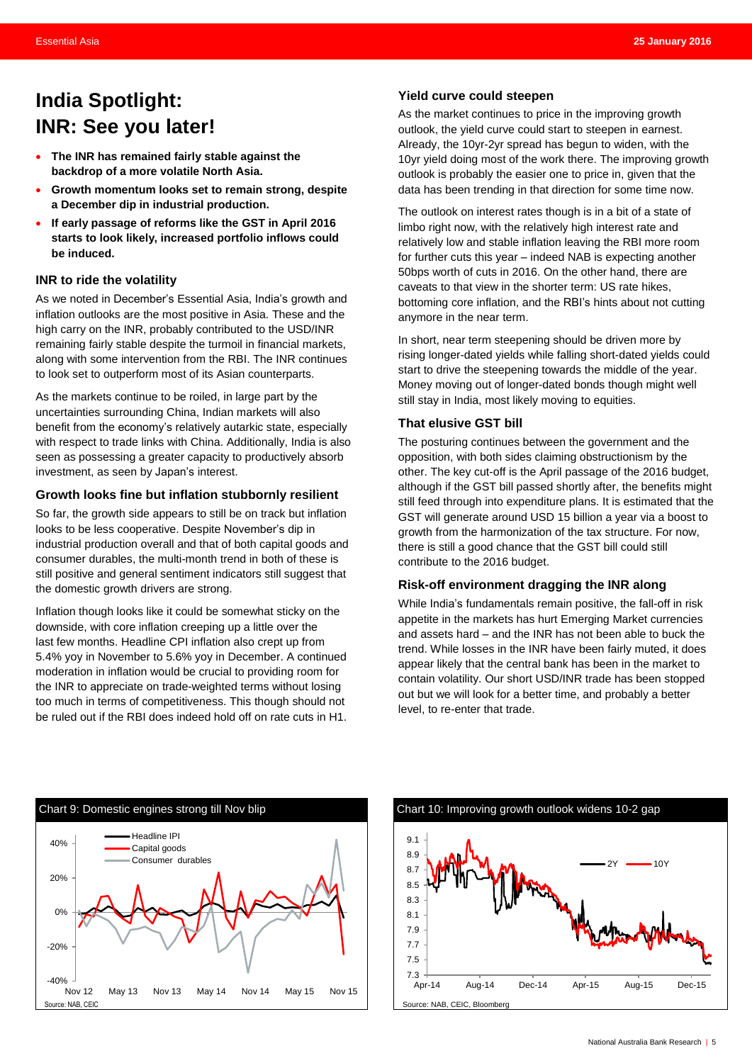### <span id="page-4-0"></span>**India Spotlight: INR: See you later!**

- **The INR has remained fairly stable against the backdrop of a more volatile North Asia.**
- **Growth momentum looks set to remain strong, despite a December dip in industrial production.**
- **If early passage of reforms like the GST in April 2016 starts to look likely, increased portfolio inflows could be induced.**

### **INR to ride the volatility**

As we noted in December's Essential Asia, India's growth and inflation outlooks are the most positive in Asia. These and the high carry on the INR, probably contributed to the USD/INR remaining fairly stable despite the turmoil in financial markets, along with some intervention from the RBI. The INR continues to look set to outperform most of its Asian counterparts.

As the markets continue to be roiled, in large part by the uncertainties surrounding China, Indian markets will also benefit from the economy's relatively autarkic state, especially with respect to trade links with China. Additionally, India is also seen as possessing a greater capacity to productively absorb investment, as seen by Japan's interest.

### **Growth looks fine but inflation stubbornly resilient**

So far, the growth side appears to still be on track but inflation looks to be less cooperative. Despite November's dip in industrial production overall and that of both capital goods and consumer durables, the multi-month trend in both of these is still positive and general sentiment indicators still suggest that the domestic growth drivers are strong.

Inflation though looks like it could be somewhat sticky on the downside, with core inflation creeping up a little over the last few months. Headline CPI inflation also crept up from 5.4% yoy in November to 5.6% yoy in December. A continued moderation in inflation would be crucial to providing room for the INR to appreciate on trade-weighted terms without losing too much in terms of competitiveness. This though should not be ruled out if the RBI does indeed hold off on rate cuts in H1.

### **Yield curve could steepen**

As the market continues to price in the improving growth outlook, the yield curve could start to steepen in earnest. Already, the 10yr-2yr spread has begun to widen, with the 10yr yield doing most of the work there. The improving growth outlook is probably the easier one to price in, given that the data has been trending in that direction for some time now.

The outlook on interest rates though is in a bit of a state of limbo right now, with the relatively high interest rate and relatively low and stable inflation leaving the RBI more room for further cuts this year – indeed NAB is expecting another 50bps worth of cuts in 2016. On the other hand, there are caveats to that view in the shorter term: US rate hikes, bottoming core inflation, and the RBI's hints about not cutting anymore in the near term.

In short, near term steepening should be driven more by rising longer-dated yields while falling short-dated yields could start to drive the steepening towards the middle of the year. Money moving out of longer-dated bonds though might well still stay in India, most likely moving to equities.

### **That elusive GST bill**

The posturing continues between the government and the opposition, with both sides claiming obstructionism by the other. The key cut-off is the April passage of the 2016 budget, although if the GST bill passed shortly after, the benefits might still feed through into expenditure plans. It is estimated that the GST will generate around USD 15 billion a year via a boost to growth from the harmonization of the tax structure. For now, there is still a good chance that the GST bill could still contribute to the 2016 budget.

### **Risk-off environment dragging the INR along**

While India's fundamentals remain positive, the fall-off in risk appetite in the markets has hurt Emerging Market currencies and assets hard – and the INR has not been able to buck the trend. While losses in the INR have been fairly muted, it does appear likely that the central bank has been in the market to contain volatility. Our short USD/INR trade has been stopped out but we will look for a better time, and probably a better level, to re-enter that trade.



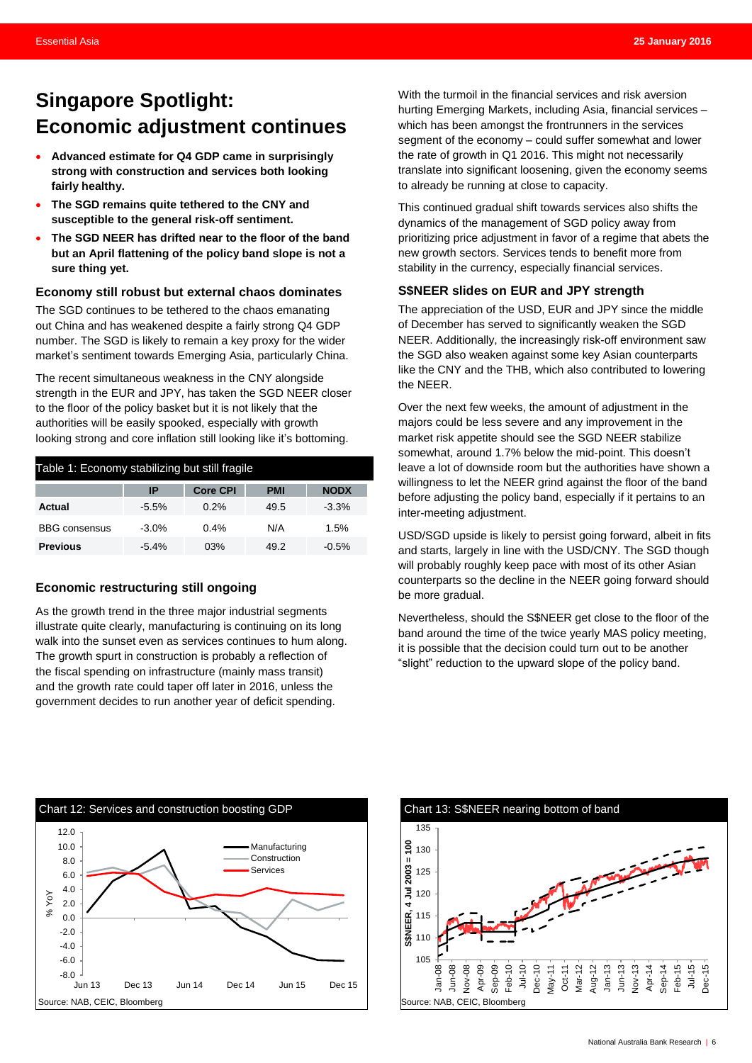### <span id="page-5-0"></span>**Singapore Spotlight: Economic adjustment continues**

- **Advanced estimate for Q4 GDP came in surprisingly strong with construction and services both looking fairly healthy.**
- **The SGD remains quite tethered to the CNY and susceptible to the general risk-off sentiment.**
- **The SGD NEER has drifted near to the floor of the band but an April flattening of the policy band slope is not a sure thing yet.**

#### **Economy still robust but external chaos dominates**

The SGD continues to be tethered to the chaos emanating out China and has weakened despite a fairly strong Q4 GDP number. The SGD is likely to remain a key proxy for the wider market's sentiment towards Emerging Asia, particularly China.

The recent simultaneous weakness in the CNY alongside strength in the EUR and JPY, has taken the SGD NEER closer to the floor of the policy basket but it is not likely that the authorities will be easily spooked, especially with growth looking strong and core inflation still looking like it's bottoming.

| Table 1: Economy stabilizing but still fragile |         |                 |            |             |  |  |  |  |  |
|------------------------------------------------|---------|-----------------|------------|-------------|--|--|--|--|--|
|                                                | ΙP      | <b>Core CPI</b> | <b>PMI</b> | <b>NODX</b> |  |  |  |  |  |
| Actual                                         | $-5.5%$ | 0.2%            | 49.5       | $-3.3%$     |  |  |  |  |  |
| <b>BBG</b> consensus                           | $-3.0%$ | 0.4%            | N/A        | 1.5%        |  |  |  |  |  |
| <b>Previous</b>                                | $-5.4%$ | 03%             | 49.2       | $-0.5%$     |  |  |  |  |  |

### **Economic restructuring still ongoing**

As the growth trend in the three major industrial segments illustrate quite clearly, manufacturing is continuing on its long walk into the sunset even as services continues to hum along. The growth spurt in construction is probably a reflection of the fiscal spending on infrastructure (mainly mass transit) and the growth rate could taper off later in 2016, unless the government decides to run another year of deficit spending.

With the turmoil in the financial services and risk aversion hurting Emerging Markets, including Asia, financial services – which has been amongst the frontrunners in the services segment of the economy – could suffer somewhat and lower the rate of growth in Q1 2016. This might not necessarily translate into significant loosening, given the economy seems to already be running at close to capacity.

This continued gradual shift towards services also shifts the dynamics of the management of SGD policy away from prioritizing price adjustment in favor of a regime that abets the new growth sectors. Services tends to benefit more from stability in the currency, especially financial services.

### **S\$NEER slides on EUR and JPY strength**

The appreciation of the USD, EUR and JPY since the middle of December has served to significantly weaken the SGD NEER. Additionally, the increasingly risk-off environment saw the SGD also weaken against some key Asian counterparts like the CNY and the THB, which also contributed to lowering the NEER.

Over the next few weeks, the amount of adjustment in the majors could be less severe and any improvement in the market risk appetite should see the SGD NEER stabilize somewhat, around 1.7% below the mid-point. This doesn't leave a lot of downside room but the authorities have shown a willingness to let the NEER grind against the floor of the band before adjusting the policy band, especially if it pertains to an inter-meeting adjustment.

USD/SGD upside is likely to persist going forward, albeit in fits and starts, largely in line with the USD/CNY. The SGD though will probably roughly keep pace with most of its other Asian counterparts so the decline in the NEER going forward should be more gradual.

Nevertheless, should the S\$NEER get close to the floor of the band around the time of the twice yearly MAS policy meeting, it is possible that the decision could turn out to be another "slight" reduction to the upward slope of the policy band.



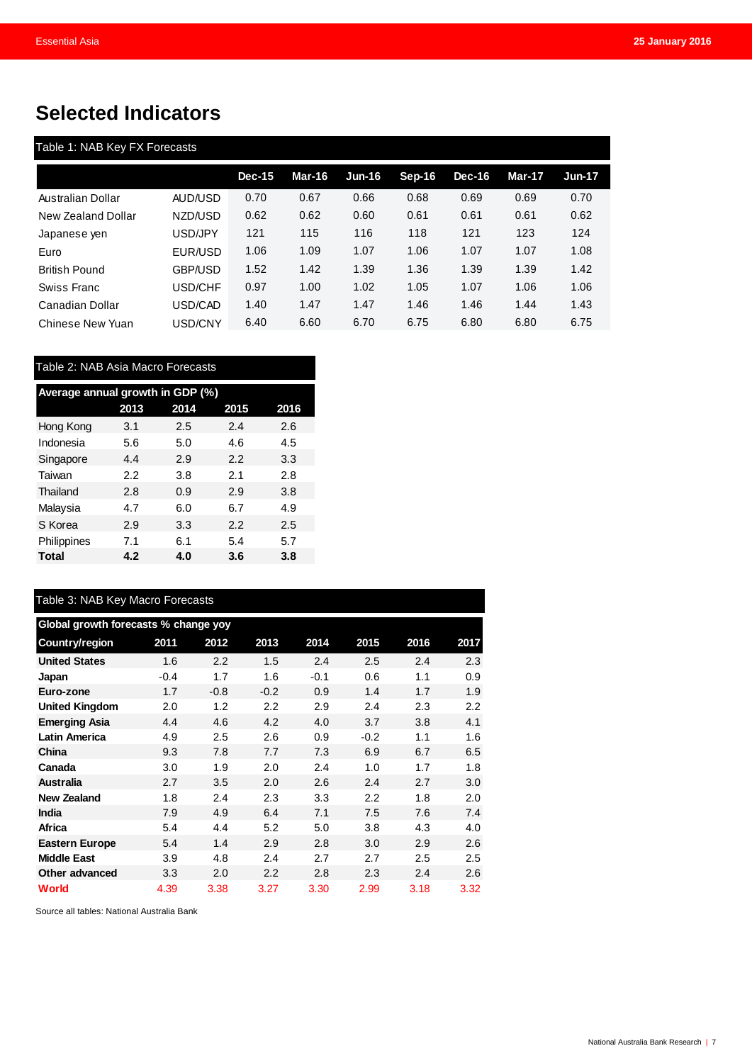## <span id="page-6-0"></span>**Selected Indicators**

|                      |                | $Dec-15$ | Mar-16 | $Jun-16$ | $Sep-16$ | $Dec-16$ | <b>Mar-17</b> | <b>Jun-17</b> |
|----------------------|----------------|----------|--------|----------|----------|----------|---------------|---------------|
| Australian Dollar    | AUD/USD        | 0.70     | 0.67   | 0.66     | 0.68     | 0.69     | 0.69          | 0.70          |
| New Zealand Dollar   | NZD/USD        | 0.62     | 0.62   | 0.60     | 0.61     | 0.61     | 0.61          | 0.62          |
| Japanese ven         | USD/JPY        | 121      | 115    | 116      | 118      | 121      | 123           | 124           |
| Euro                 | EUR/USD        | 1.06     | 1.09   | 1.07     | 1.06     | 1.07     | 1.07          | 1.08          |
| <b>British Pound</b> | <b>GBP/USD</b> | 1.52     | 1.42   | 1.39     | 1.36     | 1.39     | 1.39          | 1.42          |
| Swiss Franc          | USD/CHF        | 0.97     | 1.00   | 1.02     | 1.05     | 1.07     | 1.06          | 1.06          |
| Canadian Dollar      | USD/CAD        | 1.40     | 1.47   | 1.47     | 1.46     | 1.46     | 1.44          | 1.43          |
| Chinese New Yuan     | USD/CNY        | 6.40     | 6.60   | 6.70     | 6.75     | 6.80     | 6.80          | 6.75          |

| Average annual growth in GDP (%) |      |      |      |      |  |  |  |  |  |  |
|----------------------------------|------|------|------|------|--|--|--|--|--|--|
|                                  | 2013 | 2014 | 2015 | 2016 |  |  |  |  |  |  |
| Hong Kong                        | 3.1  | 2.5  | 2.4  | 2.6  |  |  |  |  |  |  |
| Indonesia                        | 5.6  | 5.0  | 4.6  | 4.5  |  |  |  |  |  |  |
| Singapore                        | 4.4  | 2.9  | 2.2  | 3.3  |  |  |  |  |  |  |
| Taiwan                           | 2.2  | 3.8  | 2.1  | 2.8  |  |  |  |  |  |  |
| Thailand                         | 2.8  | 0.9  | 2.9  | 3.8  |  |  |  |  |  |  |
| Malaysia                         | 4.7  | 6.0  | 6.7  | 4.9  |  |  |  |  |  |  |
| S Korea                          | 2.9  | 3.3  | 2.2  | 2.5  |  |  |  |  |  |  |
| Philippines                      | 7.1  | 6.1  | 5.4  | 5.7  |  |  |  |  |  |  |
| Total                            | 4.2  | 4.0  | 3.6  | 3.8  |  |  |  |  |  |  |

| Table 3: NAB Key Macro Forecasts     |        |        |                  |        |                  |      |      |  |  |  |
|--------------------------------------|--------|--------|------------------|--------|------------------|------|------|--|--|--|
| Global growth forecasts % change yoy |        |        |                  |        |                  |      |      |  |  |  |
| Country/region                       | 2011   | 2012   | 2013             | 2014   | 2015             | 2016 | 2017 |  |  |  |
| <b>United States</b>                 | 1.6    | 2.2    | 1.5              | 2.4    | 2.5              | 2.4  | 2.3  |  |  |  |
| Japan                                | $-0.4$ | 1.7    | 1.6              | $-0.1$ | 0.6              | 1.1  | 0.9  |  |  |  |
| Euro-zone                            | 1.7    | $-0.8$ | $-0.2$           | 0.9    | 1.4              | 1.7  | 1.9  |  |  |  |
| <b>United Kingdom</b>                | 2.0    | 1.2    | $2.2\,$          | 2.9    | 2.4              | 2.3  | 2.2  |  |  |  |
| <b>Emerging Asia</b>                 | 4.4    | 4.6    | 4.2              | 4.0    | 3.7              | 3.8  | 4.1  |  |  |  |
| <b>Latin America</b>                 | 4.9    | 2.5    | 2.6              | 0.9    | $-0.2$           | 1.1  | 1.6  |  |  |  |
| China                                | 9.3    | 7.8    | 7.7              | 7.3    | 6.9              | 6.7  | 6.5  |  |  |  |
| Canada                               | 3.0    | 1.9    | 2.0              | 2.4    | 1.0              | 1.7  | 1.8  |  |  |  |
| <b>Australia</b>                     | 2.7    | 3.5    | 2.0              | 2.6    | 2.4              | 2.7  | 3.0  |  |  |  |
| <b>New Zealand</b>                   | 1.8    | 2.4    | 2.3              | 3.3    | $2.2\phantom{0}$ | 1.8  | 2.0  |  |  |  |
| <b>India</b>                         | 7.9    | 4.9    | 6.4              | 7.1    | 7.5              | 7.6  | 7.4  |  |  |  |
| Africa                               | 5.4    | 4.4    | 5.2              | 5.0    | 3.8              | 4.3  | 4.0  |  |  |  |
| <b>Eastern Europe</b>                | 5.4    | 1.4    | 2.9              | 2.8    | 3.0              | 2.9  | 2.6  |  |  |  |
| <b>Middle East</b>                   | 3.9    | 4.8    | 2.4              | 2.7    | 2.7              | 2.5  | 2.5  |  |  |  |
| Other advanced                       | 3.3    | 2.0    | $2.2\phantom{0}$ | 2.8    | 2.3              | 2.4  | 2.6  |  |  |  |
| <b>World</b>                         | 4.39   | 3.38   | 3.27             | 3.30   | 2.99             | 3.18 | 3.32 |  |  |  |

Source all tables: National Australia Bank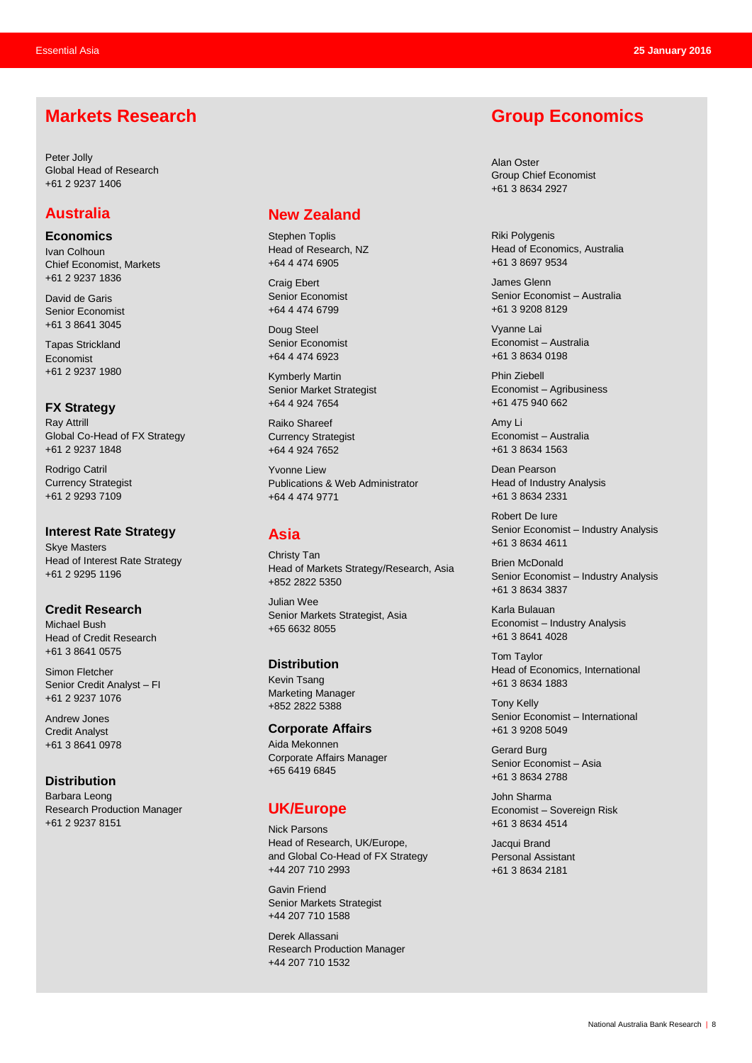### **Markets Research**

Peter Jolly Global Head of Research +61 2 9237 1406

### **Australia**

**Economics**

Ivan Colhoun Chief Economist, Markets +61 2 9237 1836

David de Garis Senior Economist +61 3 8641 3045

Tapas Strickland Economist +61 2 9237 1980

**FX Strategy** Ray Attrill Global Co-Head of FX Strategy +61 2 9237 1848

Rodrigo Catril Currency Strategist +61 2 9293 7109

**Interest Rate Strategy** Skye Masters Head of Interest Rate Strategy +61 2 9295 1196

**Credit Research** Michael Bush Head of Credit Research +61 3 8641 0575

Simon Fletcher Senior Credit Analyst – FI +61 2 9237 1076

Andrew Jones Credit Analyst +61 3 8641 0978

**Distribution** Barbara Leong Research Production Manager +61 2 9237 8151

### **New Zealand**

Stephen Toplis Head of Research, NZ +64 4 474 6905

Craig Ebert Senior Economist +64 4 474 6799

Doug Steel Senior Economist +64 4 474 6923

Kymberly Martin Senior Market Strategist +64 4 924 7654

Raiko Shareef Currency Strategist +64 4 924 7652

Yvonne Liew Publications & Web Administrator +64 4 474 9771

### **Asia**

Christy Tan Head of Markets Strategy/Research, Asia +852 2822 5350

Julian Wee Senior Markets Strategist, Asia +65 6632 8055

**Distribution** Kevin Tsang Marketing Manager +852 2822 5388

**Corporate Affairs** Aida Mekonnen Corporate Affairs Manager +65 6419 6845

### **UK/Europe**

Nick Parsons Head of Research, UK/Europe, and Global Co-Head of FX Strategy +44 207 710 2993

Gavin Friend Senior Markets Strategist +44 207 710 1588

Derek Allassani Research Production Manager +44 207 710 1532

### **Group Economics**

Alan Oster Group Chief Economist +61 3 8634 2927

Riki Polygenis Head of Economics, Australia +61 3 8697 9534

James Glenn Senior Economist – Australia +61 3 9208 8129

Vyanne Lai Economist – Australia +61 3 8634 0198

Phin Ziebell Economist – Agribusiness +61 475 940 662

Amy Li Economist – Australia +61 3 8634 1563

Dean Pearson Head of Industry Analysis +61 3 8634 2331

Robert De Iure Senior Economist – Industry Analysis +61 3 8634 4611

Brien McDonald Senior Economist – Industry Analysis +61 3 8634 3837

Karla Bulauan Economist – Industry Analysis +61 3 8641 4028

Tom Taylor Head of Economics, International +61 3 8634 1883

Tony Kelly Senior Economist – International +61 3 9208 5049

Gerard Burg Senior Economist – Asia +61 3 8634 2788

John Sharma Economist – Sovereign Risk +61 3 8634 4514

Jacqui Brand Personal Assistant +61 3 8634 2181